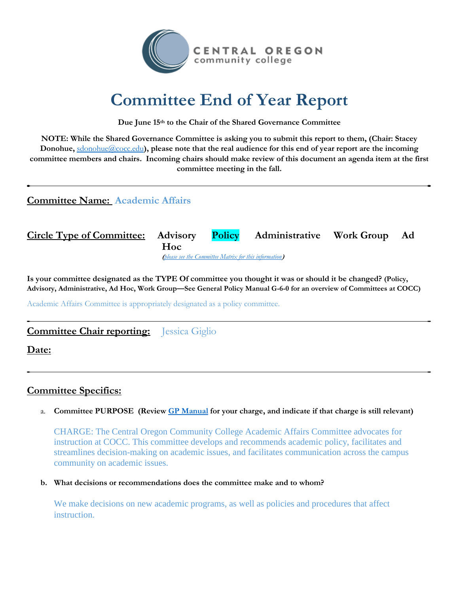

# **Committee End of Year Report**

**Due June 15th to the Chair of the Shared Governance Committee**

**NOTE: While the Shared Governance Committee is asking you to submit this report to them, (Chair: Stacey Donohue,** [sdonohue@cocc.edu](mailto:sdonohue@cocc.edu)), please note that the real audience for this end of year report are the incoming **committee members and chairs. Incoming chairs should make review of this document an agenda item at the first committee meeting in the fall.** 

# **Committee Name: Academic Affairs**

**Circle Type of Committee: Advisory Policy Administrative Work Group Ad Hoc (***[please see the Committee Matrix for this information](https://www.cocc.edu/departments/dean-of-student-and-enrollment-services/files/committee_matrix_17-18.pdf)***)**

**Is your committee designated as the TYPE Of committee you thought it was or should it be changed? (Policy, Advisory, Administrative, Ad Hoc, Work Group—See General Policy Manual G-6-0 for an overview of Committees at COCC)**

Academic Affairs Committee is appropriately designated as a policy committee.

# **Committee Chair reporting:** Jessica Giglio

**Date:** 

# **Committee Specifics:**

## a. **Committee PURPOSE (Review [GP Manual](https://www.cocc.edu/policies/general-policy-manual/general/committee-structure/default.aspx) for your charge, and indicate if that charge is still relevant)**

CHARGE: The Central Oregon Community College Academic Affairs Committee advocates for instruction at COCC. This committee develops and recommends academic policy, facilitates and streamlines decision-making on academic issues, and facilitates communication across the campus community on academic issues.

**b. What decisions or recommendations does the committee make and to whom?**

We make decisions on new academic programs, as well as policies and procedures that affect instruction.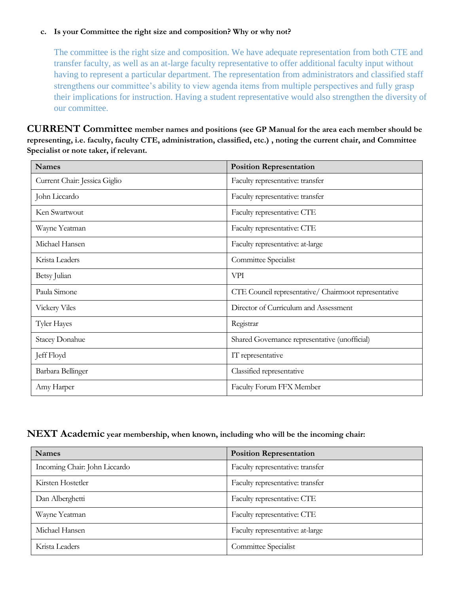### **c. Is your Committee the right size and composition? Why or why not?**

The committee is the right size and composition. We have adequate representation from both CTE and transfer faculty, as well as an at-large faculty representative to offer additional faculty input without having to represent a particular department. The representation from administrators and classified staff strengthens our committee's ability to view agenda items from multiple perspectives and fully grasp their implications for instruction. Having a student representative would also strengthen the diversity of our committee.

**CURRENT Committee member names and positions (see GP Manual for the area each member should be representing, i.e. faculty, faculty CTE, administration, classified, etc.) , noting the current chair, and Committee Specialist or note taker, if relevant.**

| <b>Names</b>                  | <b>Position Representation</b>                       |
|-------------------------------|------------------------------------------------------|
| Current Chair: Jessica Giglio | Faculty representative: transfer                     |
| John Liccardo                 | Faculty representative: transfer                     |
| Ken Swartwout                 | Faculty representative: CTE                          |
| Wayne Yeatman                 | Faculty representative: CTE                          |
| Michael Hansen                | Faculty representative: at-large                     |
| Krista Leaders                | Committee Specialist                                 |
| Betsy Julian                  | VPI                                                  |
| Paula Simone                  | CTE Council representative/ Chairmoot representative |
| <b>Vickery Viles</b>          | Director of Curriculum and Assessment                |
| <b>Tyler Hayes</b>            | Registrar                                            |
| <b>Stacey Donahue</b>         | Shared Governance representative (unofficial)        |
| Jeff Floyd                    | IT representative                                    |
| Barbara Bellinger             | Classified representative                            |
| Amy Harper                    | Faculty Forum FFX Member                             |

## **NEXT Academic year membership, when known, including who will be the incoming chair:**

| <b>Names</b>                  | <b>Position Representation</b>   |
|-------------------------------|----------------------------------|
| Incoming Chair: John Liccardo | Faculty representative: transfer |
| Kirsten Hostetler             | Faculty representative: transfer |
| Dan Alberghetti               | Faculty representative: CTE      |
| Wayne Yeatman                 | Faculty representative: CTE      |
| Michael Hansen                | Faculty representative: at-large |
| Krista Leaders                | Committee Specialist             |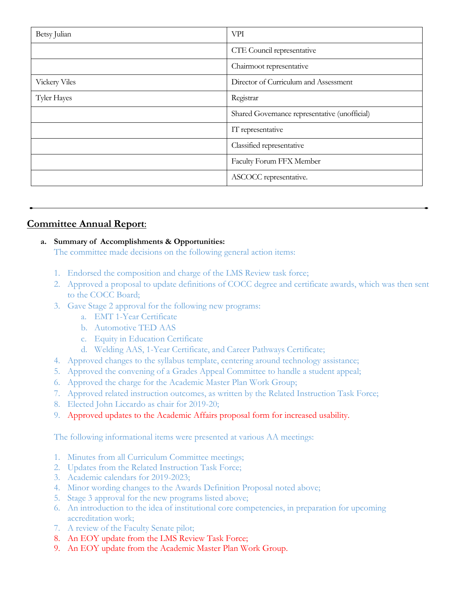| Betsy Julian         | <b>VPI</b>                                    |
|----------------------|-----------------------------------------------|
|                      | CTE Council representative                    |
|                      | Chairmoot representative                      |
| <b>Vickery Viles</b> | Director of Curriculum and Assessment         |
| Tyler Hayes          | Registrar                                     |
|                      | Shared Governance representative (unofficial) |
|                      | IT representative                             |
|                      | Classified representative                     |
|                      | Faculty Forum FFX Member                      |
|                      | ASCOCC representative.                        |

# **Committee Annual Report**:

## **a. Summary of Accomplishments & Opportunities:**

The committee made decisions on the following general action items:

- 1. Endorsed the composition and charge of the LMS Review task force;
- 2. Approved a proposal to update definitions of COCC degree and certificate awards, which was then sent to the COCC Board;
- 3. Gave Stage 2 approval for the following new programs:
	- a. EMT 1-Year Certificate
	- b. Automotive TED AAS
	- c. Equity in Education Certificate
	- d. Welding AAS, 1-Year Certificate, and Career Pathways Certificate;
- 4. Approved changes to the syllabus template, centering around technology assistance;
- 5. Approved the convening of a Grades Appeal Committee to handle a student appeal;
- 6. Approved the charge for the Academic Master Plan Work Group;
- 7. Approved related instruction outcomes, as written by the Related Instruction Task Force;
- 8. Elected John Liccardo as chair for 2019-20;
- 9. Approved updates to the Academic Affairs proposal form for increased usability.

The following informational items were presented at various AA meetings:

- 1. Minutes from all Curriculum Committee meetings;
- 2. Updates from the Related Instruction Task Force;
- 3. Academic calendars for 2019-2023;
- 4. Minor wording changes to the Awards Definition Proposal noted above;
- 5. Stage 3 approval for the new programs listed above;
- 6. An introduction to the idea of institutional core competencies, in preparation for upcoming accreditation work;
- 7. A review of the Faculty Senate pilot;
- 8. An EOY update from the LMS Review Task Force;
- 9. An EOY update from the Academic Master Plan Work Group.